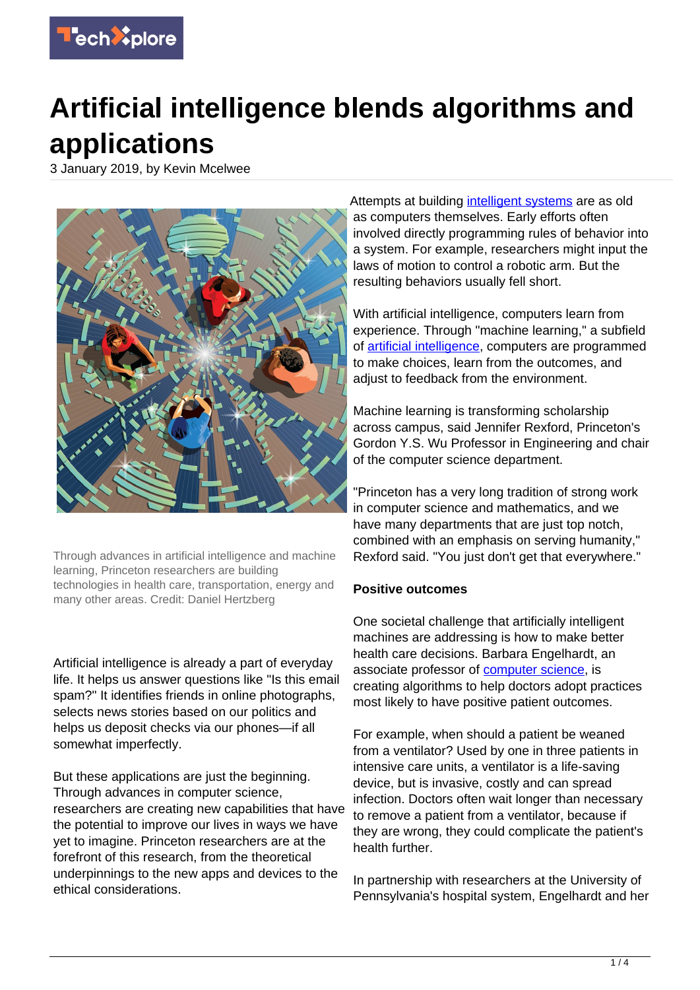

# **Artificial intelligence blends algorithms and applications**

3 January 2019, by Kevin Mcelwee



Through advances in artificial intelligence and machine learning, Princeton researchers are building technologies in health care, transportation, energy and many other areas. Credit: Daniel Hertzberg

Artificial intelligence is already a part of everyday life. It helps us answer questions like "Is this email spam?" It identifies friends in online photographs, selects news stories based on our politics and helps us deposit checks via our phones—if all somewhat imperfectly.

But these applications are just the beginning. Through advances in computer science, researchers are creating new capabilities that have the potential to improve our lives in ways we have yet to imagine. Princeton researchers are at the forefront of this research, from the theoretical underpinnings to the new apps and devices to the ethical considerations.

Attempts at building [intelligent systems](https://techxplore.com/tags/intelligent+systems/) are as old as computers themselves. Early efforts often involved directly programming rules of behavior into a system. For example, researchers might input the laws of motion to control a robotic arm. But the resulting behaviors usually fell short.

With artificial intelligence, computers learn from experience. Through "machine learning," a subfield of [artificial intelligence](https://techxplore.com/tags/artificial+intelligence/), computers are programmed to make choices, learn from the outcomes, and adjust to feedback from the environment.

Machine learning is transforming scholarship across campus, said Jennifer Rexford, Princeton's Gordon Y.S. Wu Professor in Engineering and chair of the computer science department.

"Princeton has a very long tradition of strong work in computer science and mathematics, and we have many departments that are just top notch, combined with an emphasis on serving humanity," Rexford said. "You just don't get that everywhere."

### **Positive outcomes**

One societal challenge that artificially intelligent machines are addressing is how to make better health care decisions. Barbara Engelhardt, an associate professor of [computer science](https://techxplore.com/tags/computer+science/), is creating algorithms to help doctors adopt practices most likely to have positive patient outcomes.

For example, when should a patient be weaned from a ventilator? Used by one in three patients in intensive care units, a ventilator is a life-saving device, but is invasive, costly and can spread infection. Doctors often wait longer than necessary to remove a patient from a ventilator, because if they are wrong, they could complicate the patient's health further.

In partnership with researchers at the University of Pennsylvania's hospital system, Engelhardt and her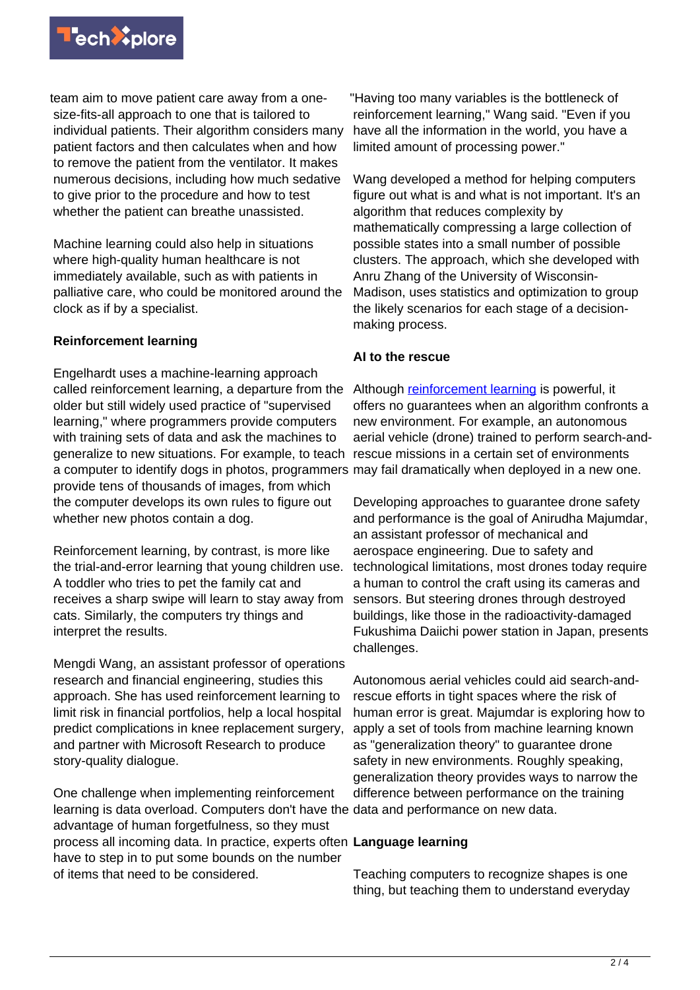

team aim to move patient care away from a onesize-fits-all approach to one that is tailored to individual patients. Their algorithm considers many patient factors and then calculates when and how to remove the patient from the ventilator. It makes numerous decisions, including how much sedative to give prior to the procedure and how to test whether the patient can breathe unassisted.

Machine learning could also help in situations where high-quality human healthcare is not immediately available, such as with patients in palliative care, who could be monitored around the clock as if by a specialist.

# **Reinforcement learning**

Engelhardt uses a machine-learning approach called reinforcement learning, a departure from the older but still widely used practice of "supervised learning," where programmers provide computers with training sets of data and ask the machines to generalize to new situations. For example, to teach rescue missions in a certain set of environments a computer to identify dogs in photos, programmers may fail dramatically when deployed in a new one. provide tens of thousands of images, from which the computer develops its own rules to figure out whether new photos contain a dog.

Reinforcement learning, by contrast, is more like the trial-and-error learning that young children use. A toddler who tries to pet the family cat and receives a sharp swipe will learn to stay away from cats. Similarly, the computers try things and interpret the results.

Mengdi Wang, an assistant professor of operations research and financial engineering, studies this approach. She has used reinforcement learning to limit risk in financial portfolios, help a local hospital predict complications in knee replacement surgery, and partner with Microsoft Research to produce story-quality dialogue.

One challenge when implementing reinforcement learning is data overload. Computers don't have the data and performance on new data. advantage of human forgetfulness, so they must process all incoming data. In practice, experts often **Language learning** have to step in to put some bounds on the number of items that need to be considered.

"Having too many variables is the bottleneck of reinforcement learning," Wang said. "Even if you have all the information in the world, you have a limited amount of processing power."

Wang developed a method for helping computers figure out what is and what is not important. It's an algorithm that reduces complexity by mathematically compressing a large collection of possible states into a small number of possible clusters. The approach, which she developed with Anru Zhang of the University of Wisconsin-Madison, uses statistics and optimization to group the likely scenarios for each stage of a decisionmaking process.

# **AI to the rescue**

Although [reinforcement learning](https://techxplore.com/tags/reinforcement+learning/) is powerful, it offers no guarantees when an algorithm confronts a new environment. For example, an autonomous aerial vehicle (drone) trained to perform search-and-

Developing approaches to guarantee drone safety and performance is the goal of Anirudha Majumdar, an assistant professor of mechanical and aerospace engineering. Due to safety and technological limitations, most drones today require a human to control the craft using its cameras and sensors. But steering drones through destroyed buildings, like those in the radioactivity-damaged Fukushima Daiichi power station in Japan, presents challenges.

Autonomous aerial vehicles could aid search-andrescue efforts in tight spaces where the risk of human error is great. Majumdar is exploring how to apply a set of tools from machine learning known as "generalization theory" to guarantee drone safety in new environments. Roughly speaking, generalization theory provides ways to narrow the difference between performance on the training

Teaching computers to recognize shapes is one thing, but teaching them to understand everyday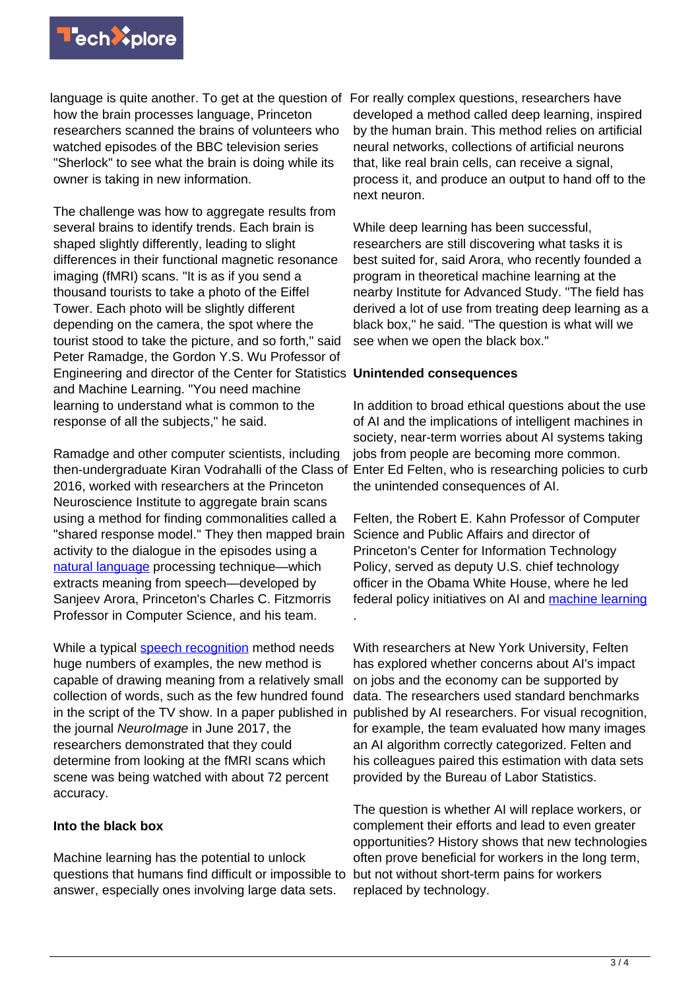

language is quite another. To get at the question of For really complex questions, researchers have how the brain processes language, Princeton researchers scanned the brains of volunteers who watched episodes of the BBC television series "Sherlock" to see what the brain is doing while its owner is taking in new information.

The challenge was how to aggregate results from several brains to identify trends. Each brain is shaped slightly differently, leading to slight differences in their functional magnetic resonance imaging (fMRI) scans. "It is as if you send a thousand tourists to take a photo of the Eiffel Tower. Each photo will be slightly different depending on the camera, the spot where the tourist stood to take the picture, and so forth," said Peter Ramadge, the Gordon Y.S. Wu Professor of Engineering and director of the Center for Statistics **Unintended consequences** and Machine Learning. "You need machine learning to understand what is common to the response of all the subjects," he said.

Ramadge and other computer scientists, including then-undergraduate Kiran Vodrahalli of the Class of Enter Ed Felten, who is researching policies to curb 2016, worked with researchers at the Princeton Neuroscience Institute to aggregate brain scans using a method for finding commonalities called a "shared response model." They then mapped brain activity to the dialogue in the episodes using a [natural language](https://techxplore.com/tags/natural+language/) processing technique—which extracts meaning from speech—developed by Sanjeev Arora, Princeton's Charles C. Fitzmorris Professor in Computer Science, and his team.

While a typical [speech recognition](https://techxplore.com/tags/speech+recognition/) method needs huge numbers of examples, the new method is capable of drawing meaning from a relatively small collection of words, such as the few hundred found in the script of the TV show. In a paper published in the journal NeuroImage in June 2017, the researchers demonstrated that they could determine from looking at the fMRI scans which scene was being watched with about 72 percent accuracy.

### **Into the black box**

Machine learning has the potential to unlock questions that humans find difficult or impossible to answer, especially ones involving large data sets.

developed a method called deep learning, inspired by the human brain. This method relies on artificial neural networks, collections of artificial neurons that, like real brain cells, can receive a signal, process it, and produce an output to hand off to the next neuron.

While deep learning has been successful, researchers are still discovering what tasks it is best suited for, said Arora, who recently founded a program in theoretical machine learning at the nearby Institute for Advanced Study. "The field has derived a lot of use from treating deep learning as a black box," he said. "The question is what will we see when we open the black box."

In addition to broad ethical questions about the use of AI and the implications of intelligent machines in society, near-term worries about AI systems taking jobs from people are becoming more common. the unintended consequences of AI.

Felten, the Robert E. Kahn Professor of Computer Science and Public Affairs and director of Princeton's Center for Information Technology Policy, served as deputy U.S. chief technology officer in the Obama White House, where he led federal policy initiatives on AI and [machine learning](https://techxplore.com/tags/machine+learning/) .

With researchers at New York University, Felten has explored whether concerns about AI's impact on jobs and the economy can be supported by data. The researchers used standard benchmarks published by AI researchers. For visual recognition, for example, the team evaluated how many images an AI algorithm correctly categorized. Felten and his colleagues paired this estimation with data sets provided by the Bureau of Labor Statistics.

The question is whether AI will replace workers, or complement their efforts and lead to even greater opportunities? History shows that new technologies often prove beneficial for workers in the long term, but not without short-term pains for workers replaced by technology.